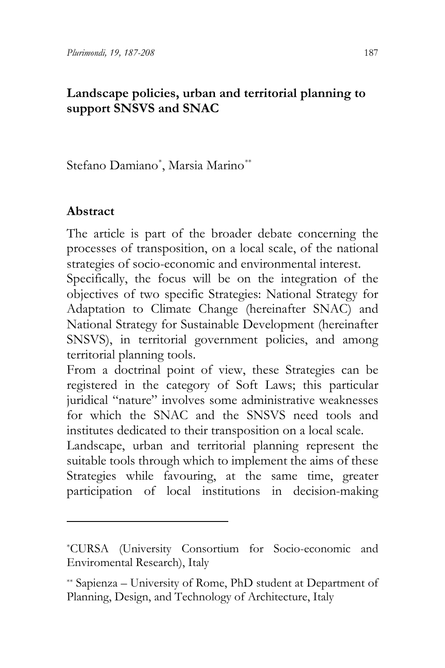Stefano Damian[o\\*](#page-0-0) , Marsia Marino[\\*\\*](#page-0-1)

## **Abstract**

The article is part of the broader debate concerning the processes of transposition, on a local scale, of the national strategies of socio-economic and environmental interest.

Specifically, the focus will be on the integration of the objectives of two specific Strategies: National Strategy for Adaptation to Climate Change (hereinafter SNAC) and National Strategy for Sustainable Development (hereinafter SNSVS), in territorial government policies, and among territorial planning tools.

From a doctrinal point of view, these Strategies can be registered in the category of Soft Laws; this particular juridical "nature" involves some administrative weaknesses for which the SNAC and the SNSVS need tools and institutes dedicated to their transposition on a local scale.

Landscape, urban and territorial planning represent the suitable tools through which to implement the aims of these Strategies while favouring, at the same time, greater participation of local institutions in decision-making

<span id="page-0-0"></span><sup>\*</sup>CURSA (University Consortium for Socio-economic and Enviromental Research), Italy

<span id="page-0-1"></span><sup>\*\*</sup> Sapienza – University of Rome, PhD student at Department of Planning, Design, and Technology of Architecture, Italy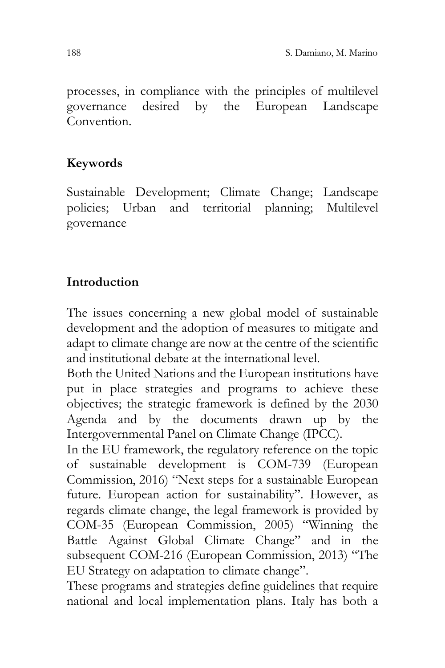processes, in compliance with the principles of multilevel governance desired by the European Landscape Convention.

### **Keywords**

Sustainable Development; Climate Change; Landscape policies; Urban and territorial planning; Multilevel governance

#### **Introduction**

The issues concerning a new global model of sustainable development and the adoption of measures to mitigate and adapt to climate change are now at the centre of the scientific and institutional debate at the international level.

Both the United Nations and the European institutions have put in place strategies and programs to achieve these objectives; the strategic framework is defined by the 2030 Agenda and by the documents drawn up by the Intergovernmental Panel on Climate Change (IPCC).

In the EU framework, the regulatory reference on the topic of sustainable development is COM-739 (European Commission, 2016) "Next steps for a sustainable European future. European action for sustainability". However, as regards climate change, the legal framework is provided by COM-35 (European Commission, 2005) "Winning the Battle Against Global Climate Change" and in the subsequent COM-216 (European Commission, 2013) "The EU Strategy on adaptation to climate change".

These programs and strategies define guidelines that require national and local implementation plans. Italy has both a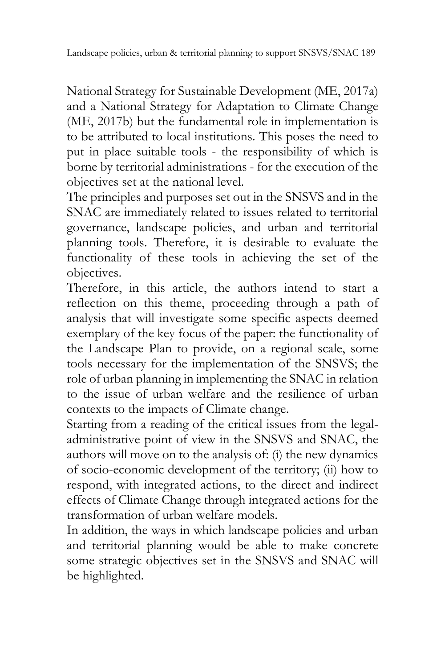National Strategy for Sustainable Development (ME, 2017a) and a National Strategy for Adaptation to Climate Change (ME, 2017b) but the fundamental role in implementation is to be attributed to local institutions. This poses the need to put in place suitable tools - the responsibility of which is borne by territorial administrations - for the execution of the objectives set at the national level.

The principles and purposes set out in the SNSVS and in the SNAC are immediately related to issues related to territorial governance, landscape policies, and urban and territorial planning tools. Therefore, it is desirable to evaluate the functionality of these tools in achieving the set of the objectives.

Therefore, in this article, the authors intend to start a reflection on this theme, proceeding through a path of analysis that will investigate some specific aspects deemed exemplary of the key focus of the paper: the functionality of the Landscape Plan to provide, on a regional scale, some tools necessary for the implementation of the SNSVS; the role of urban planning in implementing the SNAC in relation to the issue of urban welfare and the resilience of urban contexts to the impacts of Climate change.

Starting from a reading of the critical issues from the legaladministrative point of view in the SNSVS and SNAC, the authors will move on to the analysis of: (i) the new dynamics of socio-economic development of the territory; (ii) how to respond, with integrated actions, to the direct and indirect effects of Climate Change through integrated actions for the transformation of urban welfare models.

In addition, the ways in which landscape policies and urban and territorial planning would be able to make concrete some strategic objectives set in the SNSVS and SNAC will be highlighted.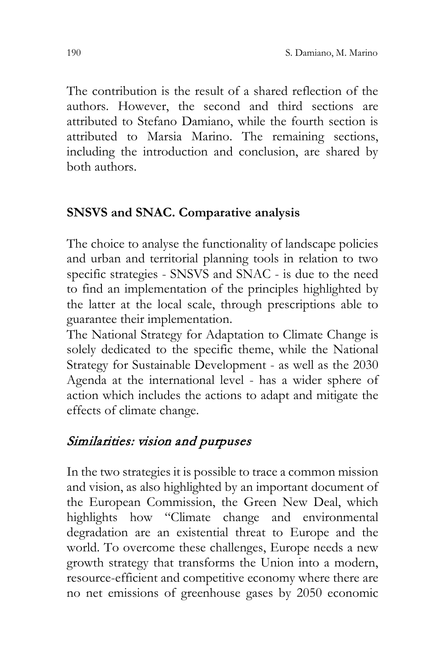The contribution is the result of a shared reflection of the authors. However, the second and third sections are attributed to Stefano Damiano, while the fourth section is attributed to Marsia Marino. The remaining sections, including the introduction and conclusion, are shared by both authors.

#### **SNSVS and SNAC. Comparative analysis**

The choice to analyse the functionality of landscape policies and urban and territorial planning tools in relation to two specific strategies - SNSVS and SNAC - is due to the need to find an implementation of the principles highlighted by the latter at the local scale, through prescriptions able to guarantee their implementation.

The National Strategy for Adaptation to Climate Change is solely dedicated to the specific theme, while the National Strategy for Sustainable Development - as well as the 2030 Agenda at the international level - has a wider sphere of action which includes the actions to adapt and mitigate the effects of climate change.

## Similarities: vision and purpuses

In the two strategies it is possible to trace a common mission and vision, as also highlighted by an important document of the European Commission, the Green New Deal, which highlights how "Climate change and environmental degradation are an existential threat to Europe and the world. To overcome these challenges, Europe needs a new growth strategy that transforms the Union into a modern, resource-efficient and competitive economy where there are no net emissions of greenhouse gases by 2050 economic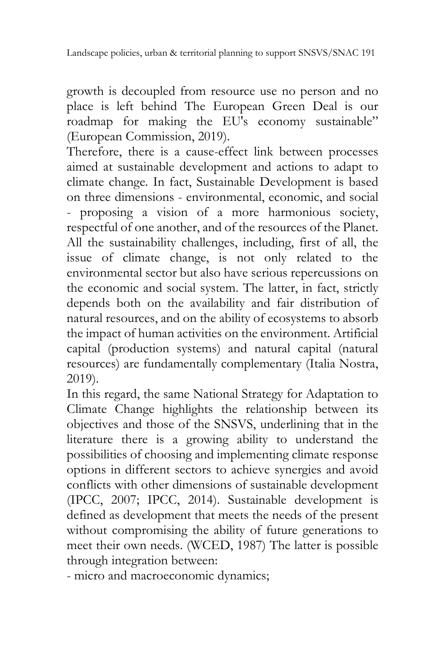growth is decoupled from resource use no person and no place is left behind The European Green Deal is our roadmap for making the EU's economy sustainable" (European Commission, 2019).

Therefore, there is a cause-effect link between processes aimed at sustainable development and actions to adapt to climate change. In fact, Sustainable Development is based on three dimensions - environmental, economic, and social - proposing a vision of a more harmonious society, respectful of one another, and of the resources of the Planet. All the sustainability challenges, including, first of all, the issue of climate change, is not only related to the environmental sector but also have serious repercussions on the economic and social system. The latter, in fact, strictly depends both on the availability and fair distribution of natural resources, and on the ability of ecosystems to absorb the impact of human activities on the environment. Artificial capital (production systems) and natural capital (natural resources) are fundamentally complementary (Italia Nostra, 2019).

In this regard, the same National Strategy for Adaptation to Climate Change highlights the relationship between its objectives and those of the SNSVS, underlining that in the literature there is a growing ability to understand the possibilities of choosing and implementing climate response options in different sectors to achieve synergies and avoid conflicts with other dimensions of sustainable development (IPCC, 2007; IPCC, 2014). Sustainable development is defined as development that meets the needs of the present without compromising the ability of future generations to meet their own needs. (WCED, 1987) The latter is possible through integration between:

- micro and macroeconomic dynamics;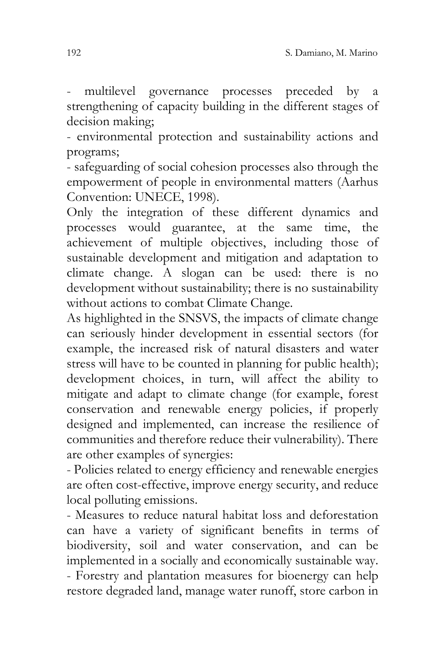- multilevel governance processes preceded by a strengthening of capacity building in the different stages of decision making;

- environmental protection and sustainability actions and programs;

- safeguarding of social cohesion processes also through the empowerment of people in environmental matters (Aarhus Convention: UNECE, 1998).

Only the integration of these different dynamics and processes would guarantee, at the same time, the achievement of multiple objectives, including those of sustainable development and mitigation and adaptation to climate change. A slogan can be used: there is no development without sustainability; there is no sustainability without actions to combat Climate Change.

As highlighted in the SNSVS, the impacts of climate change can seriously hinder development in essential sectors (for example, the increased risk of natural disasters and water stress will have to be counted in planning for public health); development choices, in turn, will affect the ability to mitigate and adapt to climate change (for example, forest conservation and renewable energy policies, if properly designed and implemented, can increase the resilience of communities and therefore reduce their vulnerability). There are other examples of synergies:

- Policies related to energy efficiency and renewable energies are often cost-effective, improve energy security, and reduce local polluting emissions.

- Measures to reduce natural habitat loss and deforestation can have a variety of significant benefits in terms of biodiversity, soil and water conservation, and can be implemented in a socially and economically sustainable way. - Forestry and plantation measures for bioenergy can help restore degraded land, manage water runoff, store carbon in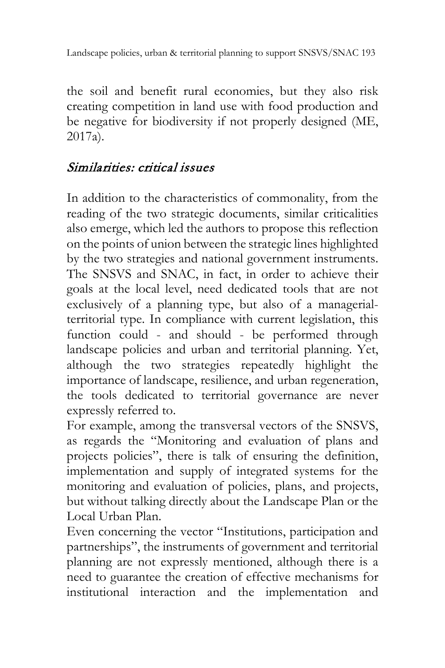the soil and benefit rural economies, but they also risk creating competition in land use with food production and be negative for biodiversity if not properly designed (ME, 2017a).

# Similarities: critical issues

In addition to the characteristics of commonality, from the reading of the two strategic documents, similar criticalities also emerge, which led the authors to propose this reflection on the points of union between the strategic lines highlighted by the two strategies and national government instruments. The SNSVS and SNAC, in fact, in order to achieve their goals at the local level, need dedicated tools that are not exclusively of a planning type, but also of a managerialterritorial type. In compliance with current legislation, this function could - and should - be performed through landscape policies and urban and territorial planning. Yet, although the two strategies repeatedly highlight the importance of landscape, resilience, and urban regeneration, the tools dedicated to territorial governance are never expressly referred to.

For example, among the transversal vectors of the SNSVS, as regards the "Monitoring and evaluation of plans and projects policies", there is talk of ensuring the definition, implementation and supply of integrated systems for the monitoring and evaluation of policies, plans, and projects, but without talking directly about the Landscape Plan or the Local Urban Plan.

Even concerning the vector "Institutions, participation and partnerships", the instruments of government and territorial planning are not expressly mentioned, although there is a need to guarantee the creation of effective mechanisms for institutional interaction and the implementation and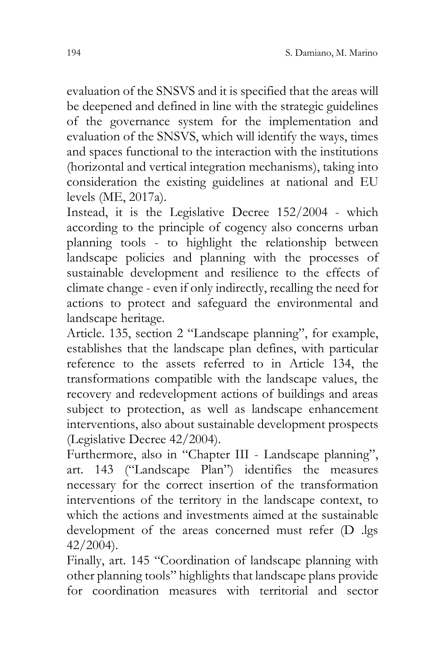evaluation of the SNSVS and it is specified that the areas will be deepened and defined in line with the strategic guidelines of the governance system for the implementation and evaluation of the SNSVS, which will identify the ways, times and spaces functional to the interaction with the institutions (horizontal and vertical integration mechanisms), taking into consideration the existing guidelines at national and EU levels (ME, 2017a).

Instead, it is the Legislative Decree 152/2004 - which according to the principle of cogency also concerns urban planning tools - to highlight the relationship between landscape policies and planning with the processes of sustainable development and resilience to the effects of climate change - even if only indirectly, recalling the need for actions to protect and safeguard the environmental and landscape heritage.

Article. 135, section 2 "Landscape planning", for example, establishes that the landscape plan defines, with particular reference to the assets referred to in Article 134, the transformations compatible with the landscape values, the recovery and redevelopment actions of buildings and areas subject to protection, as well as landscape enhancement interventions, also about sustainable development prospects (Legislative Decree 42/2004).

Furthermore, also in "Chapter III - Landscape planning", art. 143 ("Landscape Plan") identifies the measures necessary for the correct insertion of the transformation interventions of the territory in the landscape context, to which the actions and investments aimed at the sustainable development of the areas concerned must refer (D .lgs 42/2004).

Finally, art. 145 "Coordination of landscape planning with other planning tools" highlights that landscape plans provide for coordination measures with territorial and sector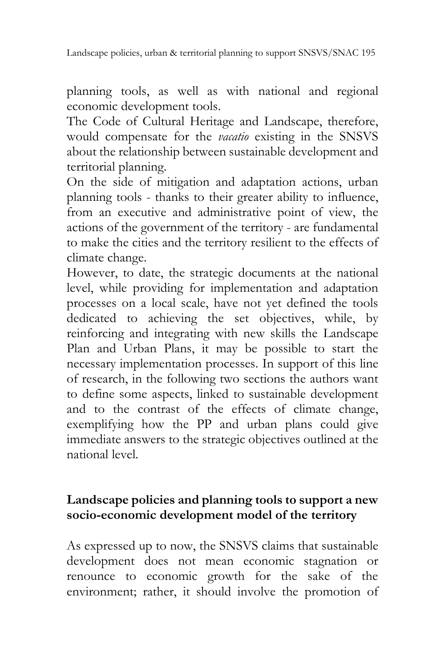planning tools, as well as with national and regional economic development tools.

The Code of Cultural Heritage and Landscape, therefore, would compensate for the *vacatio* existing in the SNSVS about the relationship between sustainable development and territorial planning.

On the side of mitigation and adaptation actions, urban planning tools - thanks to their greater ability to influence, from an executive and administrative point of view, the actions of the government of the territory - are fundamental to make the cities and the territory resilient to the effects of climate change.

However, to date, the strategic documents at the national level, while providing for implementation and adaptation processes on a local scale, have not yet defined the tools dedicated to achieving the set objectives, while, by reinforcing and integrating with new skills the Landscape Plan and Urban Plans, it may be possible to start the necessary implementation processes. In support of this line of research, in the following two sections the authors want to define some aspects, linked to sustainable development and to the contrast of the effects of climate change, exemplifying how the PP and urban plans could give immediate answers to the strategic objectives outlined at the national level.

#### **Landscape policies and planning tools to support a new socio-economic development model of the territory**

As expressed up to now, the SNSVS claims that sustainable development does not mean economic stagnation or renounce to economic growth for the sake of the environment; rather, it should involve the promotion of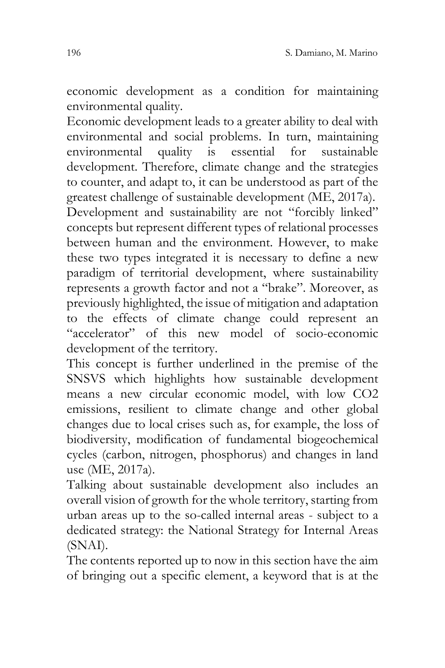economic development as a condition for maintaining environmental quality.

Economic development leads to a greater ability to deal with environmental and social problems. In turn, maintaining environmental quality is essential for sustainable development. Therefore, climate change and the strategies to counter, and adapt to, it can be understood as part of the greatest challenge of sustainable development (ME, 2017a). Development and sustainability are not "forcibly linked" concepts but represent different types of relational processes between human and the environment. However, to make these two types integrated it is necessary to define a new paradigm of territorial development, where sustainability represents a growth factor and not a "brake". Moreover, as previously highlighted, the issue of mitigation and adaptation to the effects of climate change could represent an "accelerator" of this new model of socio-economic development of the territory.

This concept is further underlined in the premise of the SNSVS which highlights how sustainable development means a new circular economic model, with low CO2 emissions, resilient to climate change and other global changes due to local crises such as, for example, the loss of biodiversity, modification of fundamental biogeochemical cycles (carbon, nitrogen, phosphorus) and changes in land use (ME, 2017a).

Talking about sustainable development also includes an overall vision of growth for the whole territory, starting from urban areas up to the so-called internal areas - subject to a dedicated strategy: the National Strategy for Internal Areas (SNAI).

The contents reported up to now in this section have the aim of bringing out a specific element, a keyword that is at the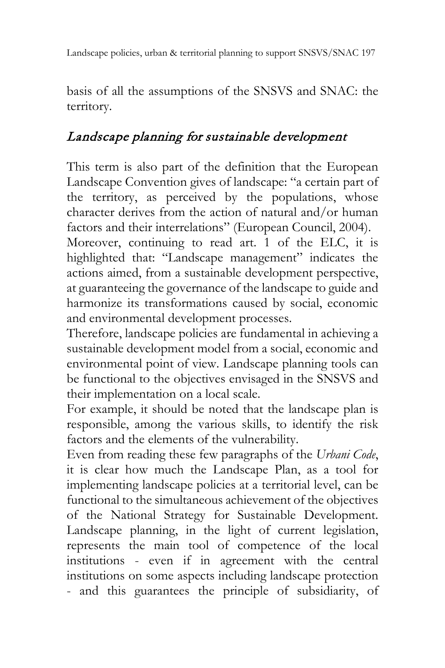basis of all the assumptions of the SNSVS and SNAC: the territory.

# Landscape planning for sustainable development

This term is also part of the definition that the European Landscape Convention gives of landscape: "a certain part of the territory, as perceived by the populations, whose character derives from the action of natural and/or human factors and their interrelations" (European Council, 2004).

Moreover, continuing to read art. 1 of the ELC, it is highlighted that: "Landscape management" indicates the actions aimed, from a sustainable development perspective, at guaranteeing the governance of the landscape to guide and harmonize its transformations caused by social, economic and environmental development processes.

Therefore, landscape policies are fundamental in achieving a sustainable development model from a social, economic and environmental point of view. Landscape planning tools can be functional to the objectives envisaged in the SNSVS and their implementation on a local scale.

For example, it should be noted that the landscape plan is responsible, among the various skills, to identify the risk factors and the elements of the vulnerability.

Even from reading these few paragraphs of the *Urbani Code*, it is clear how much the Landscape Plan, as a tool for implementing landscape policies at a territorial level, can be functional to the simultaneous achievement of the objectives of the National Strategy for Sustainable Development. Landscape planning, in the light of current legislation, represents the main tool of competence of the local institutions - even if in agreement with the central institutions on some aspects including landscape protection - and this guarantees the principle of subsidiarity, of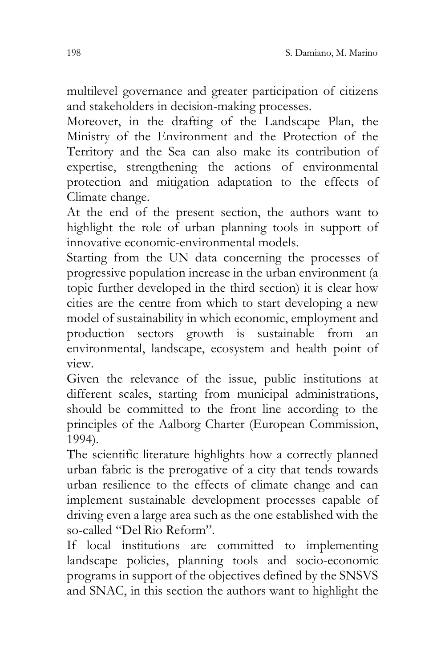multilevel governance and greater participation of citizens and stakeholders in decision-making processes.

Moreover, in the drafting of the Landscape Plan, the Ministry of the Environment and the Protection of the Territory and the Sea can also make its contribution of expertise, strengthening the actions of environmental protection and mitigation adaptation to the effects of Climate change.

At the end of the present section, the authors want to highlight the role of urban planning tools in support of innovative economic-environmental models.

Starting from the UN data concerning the processes of progressive population increase in the urban environment (a topic further developed in the third section) it is clear how cities are the centre from which to start developing a new model of sustainability in which economic, employment and production sectors growth is sustainable from an environmental, landscape, ecosystem and health point of view.

Given the relevance of the issue, public institutions at different scales, starting from municipal administrations, should be committed to the front line according to the principles of the Aalborg Charter (European Commission, 1994).

The scientific literature highlights how a correctly planned urban fabric is the prerogative of a city that tends towards urban resilience to the effects of climate change and can implement sustainable development processes capable of driving even a large area such as the one established with the so-called "Del Rio Reform".

If local institutions are committed to implementing landscape policies, planning tools and socio-economic programs in support of the objectives defined by the SNSVS and SNAC, in this section the authors want to highlight the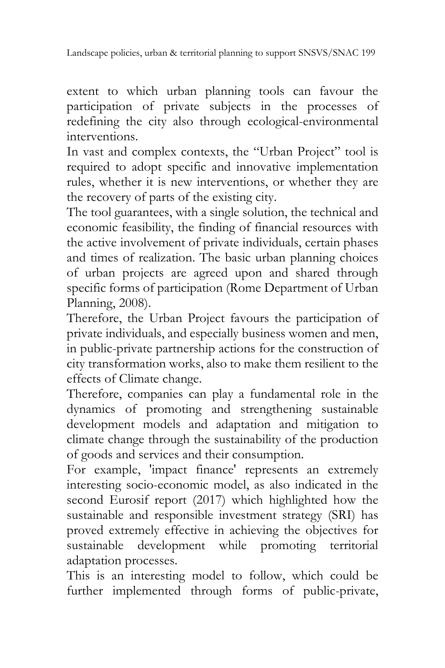extent to which urban planning tools can favour the participation of private subjects in the processes of redefining the city also through ecological-environmental interventions.

In vast and complex contexts, the "Urban Project" tool is required to adopt specific and innovative implementation rules, whether it is new interventions, or whether they are the recovery of parts of the existing city.

The tool guarantees, with a single solution, the technical and economic feasibility, the finding of financial resources with the active involvement of private individuals, certain phases and times of realization. The basic urban planning choices of urban projects are agreed upon and shared through specific forms of participation (Rome Department of Urban Planning, 2008).

Therefore, the Urban Project favours the participation of private individuals, and especially business women and men, in public-private partnership actions for the construction of city transformation works, also to make them resilient to the effects of Climate change.

Therefore, companies can play a fundamental role in the dynamics of promoting and strengthening sustainable development models and adaptation and mitigation to climate change through the sustainability of the production of goods and services and their consumption.

For example, 'impact finance' represents an extremely interesting socio-economic model, as also indicated in the second Eurosif report (2017) which highlighted how the sustainable and responsible investment strategy (SRI) has proved extremely effective in achieving the objectives for sustainable development while promoting territorial adaptation processes.

This is an interesting model to follow, which could be further implemented through forms of public-private,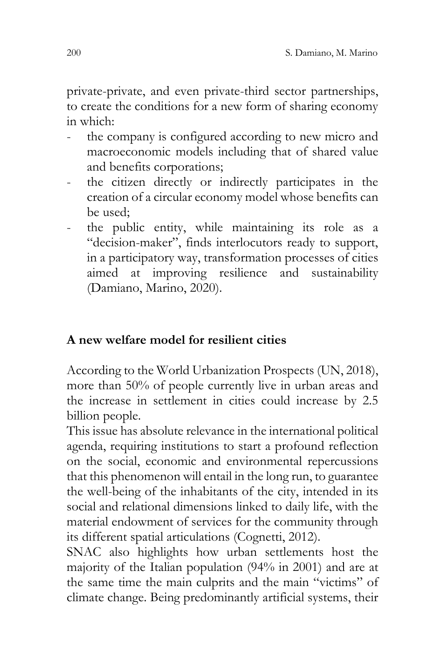private-private, and even private-third sector partnerships, to create the conditions for a new form of sharing economy in which:

- the company is configured according to new micro and macroeconomic models including that of shared value and benefits corporations;
- the citizen directly or indirectly participates in the creation of a circular economy model whose benefits can be used;
- the public entity, while maintaining its role as a "decision-maker", finds interlocutors ready to support, in a participatory way, transformation processes of cities aimed at improving resilience and sustainability (Damiano, Marino, 2020).

#### **A new welfare model for resilient cities**

According to the World Urbanization Prospects (UN, 2018), more than 50% of people currently live in urban areas and the increase in settlement in cities could increase by 2.5 billion people.

This issue has absolute relevance in the international political agenda, requiring institutions to start a profound reflection on the social, economic and environmental repercussions that this phenomenon will entail in the long run, to guarantee the well-being of the inhabitants of the city, intended in its social and relational dimensions linked to daily life, with the material endowment of services for the community through its different spatial articulations (Cognetti, 2012).

SNAC also highlights how urban settlements host the majority of the Italian population (94% in 2001) and are at the same time the main culprits and the main "victims" of climate change. Being predominantly artificial systems, their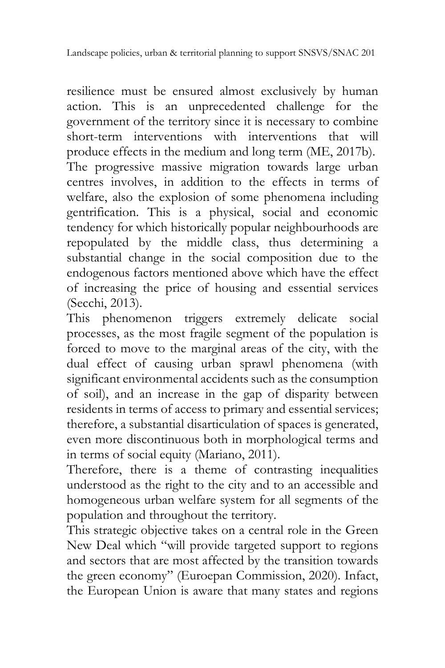resilience must be ensured almost exclusively by human action. This is an unprecedented challenge for the government of the territory since it is necessary to combine short-term interventions with interventions that will produce effects in the medium and long term (ME, 2017b). The progressive massive migration towards large urban centres involves, in addition to the effects in terms of welfare, also the explosion of some phenomena including gentrification. This is a physical, social and economic tendency for which historically popular neighbourhoods are repopulated by the middle class, thus determining a substantial change in the social composition due to the endogenous factors mentioned above which have the effect of increasing the price of housing and essential services (Secchi, 2013).

This phenomenon triggers extremely delicate social processes, as the most fragile segment of the population is forced to move to the marginal areas of the city, with the dual effect of causing urban sprawl phenomena (with significant environmental accidents such as the consumption of soil), and an increase in the gap of disparity between residents in terms of access to primary and essential services; therefore, a substantial disarticulation of spaces is generated, even more discontinuous both in morphological terms and in terms of social equity (Mariano, 2011).

Therefore, there is a theme of contrasting inequalities understood as the right to the city and to an accessible and homogeneous urban welfare system for all segments of the population and throughout the territory.

This strategic objective takes on a central role in the Green New Deal which "will provide targeted support to regions and sectors that are most affected by the transition towards the green economy" (Euroepan Commission, 2020). Infact, the European Union is aware that many states and regions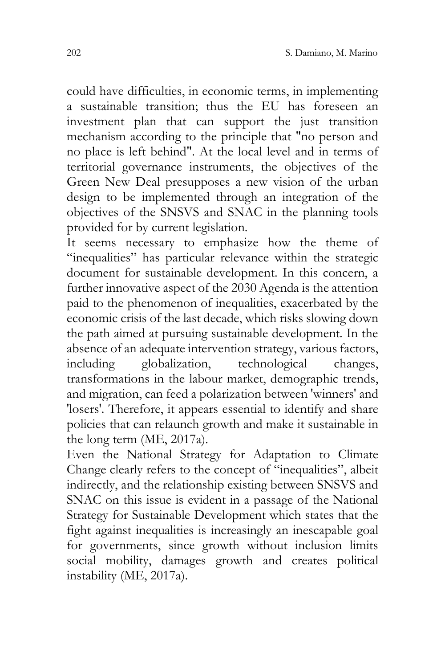could have difficulties, in economic terms, in implementing a sustainable transition; thus the EU has foreseen an investment plan that can support the just transition mechanism according to the principle that "no person and no place is left behind". At the local level and in terms of territorial governance instruments, the objectives of the Green New Deal presupposes a new vision of the urban design to be implemented through an integration of the objectives of the SNSVS and SNAC in the planning tools provided for by current legislation.

It seems necessary to emphasize how the theme of "inequalities" has particular relevance within the strategic document for sustainable development. In this concern, a further innovative aspect of the 2030 Agenda is the attention paid to the phenomenon of inequalities, exacerbated by the economic crisis of the last decade, which risks slowing down the path aimed at pursuing sustainable development. In the absence of an adequate intervention strategy, various factors,<br>including <br>globalization, technological changes, including globalization, technological changes, transformations in the labour market, demographic trends, and migration, can feed a polarization between 'winners' and 'losers'. Therefore, it appears essential to identify and share policies that can relaunch growth and make it sustainable in the long term (ME, 2017a).

Even the National Strategy for Adaptation to Climate Change clearly refers to the concept of "inequalities", albeit indirectly, and the relationship existing between SNSVS and SNAC on this issue is evident in a passage of the National Strategy for Sustainable Development which states that the fight against inequalities is increasingly an inescapable goal for governments, since growth without inclusion limits social mobility, damages growth and creates political instability (ME, 2017a).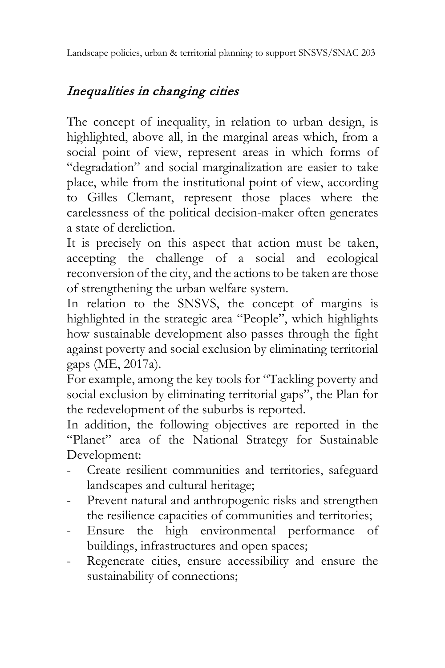# Inequalities in changing cities

The concept of inequality, in relation to urban design, is highlighted, above all, in the marginal areas which, from a social point of view, represent areas in which forms of "degradation" and social marginalization are easier to take place, while from the institutional point of view, according to Gilles Clemant, represent those places where the carelessness of the political decision-maker often generates a state of dereliction.

It is precisely on this aspect that action must be taken, accepting the challenge of a social and ecological reconversion of the city, and the actions to be taken are those of strengthening the urban welfare system.

In relation to the SNSVS, the concept of margins is highlighted in the strategic area "People", which highlights how sustainable development also passes through the fight against poverty and social exclusion by eliminating territorial gaps (ME, 2017a).

For example, among the key tools for "Tackling poverty and social exclusion by eliminating territorial gaps", the Plan for the redevelopment of the suburbs is reported.

In addition, the following objectives are reported in the "Planet" area of the National Strategy for Sustainable Development:

- Create resilient communities and territories, safeguard landscapes and cultural heritage;
- Prevent natural and anthropogenic risks and strengthen the resilience capacities of communities and territories;
- Ensure the high environmental performance of buildings, infrastructures and open spaces;
- Regenerate cities, ensure accessibility and ensure the sustainability of connections;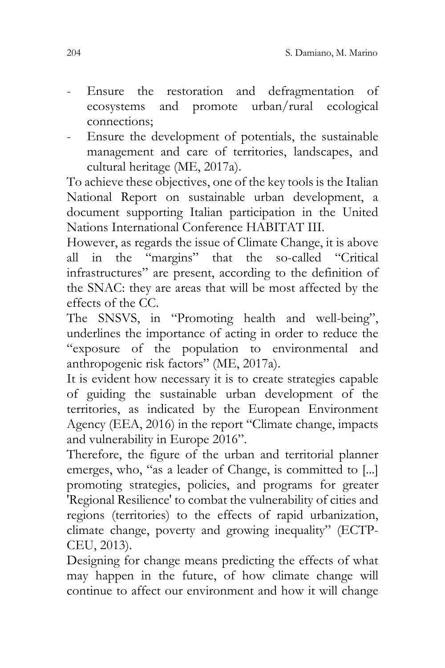- Ensure the restoration and defragmentation of ecosystems and promote urban/rural ecological connections;
- Ensure the development of potentials, the sustainable management and care of territories, landscapes, and cultural heritage (ME, 2017a).

To achieve these objectives, one of the key tools is the Italian National Report on sustainable urban development, a document supporting Italian participation in the United Nations International Conference HABITAT III.

However, as regards the issue of Climate Change, it is above all in the "margins" that the so-called "Critical infrastructures" are present, according to the definition of the SNAC: they are areas that will be most affected by the effects of the CC.

The SNSVS, in "Promoting health and well-being", underlines the importance of acting in order to reduce the "exposure of the population to environmental and anthropogenic risk factors" (ME, 2017a).

It is evident how necessary it is to create strategies capable of guiding the sustainable urban development of the territories, as indicated by the European Environment Agency (EEA, 2016) in the report "Climate change, impacts and vulnerability in Europe 2016".

Therefore, the figure of the urban and territorial planner emerges, who, "as a leader of Change, is committed to [...] promoting strategies, policies, and programs for greater 'Regional Resilience' to combat the vulnerability of cities and regions (territories) to the effects of rapid urbanization, climate change, poverty and growing inequality" (ECTP-CEU, 2013).

Designing for change means predicting the effects of what may happen in the future, of how climate change will continue to affect our environment and how it will change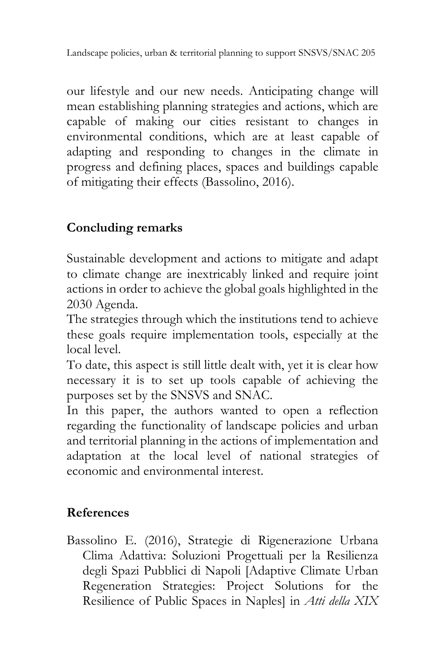our lifestyle and our new needs. Anticipating change will mean establishing planning strategies and actions, which are capable of making our cities resistant to changes in environmental conditions, which are at least capable of adapting and responding to changes in the climate in progress and defining places, spaces and buildings capable of mitigating their effects (Bassolino, 2016).

# **Concluding remarks**

Sustainable development and actions to mitigate and adapt to climate change are inextricably linked and require joint actions in order to achieve the global goals highlighted in the 2030 Agenda.

The strategies through which the institutions tend to achieve these goals require implementation tools, especially at the local level.

To date, this aspect is still little dealt with, yet it is clear how necessary it is to set up tools capable of achieving the purposes set by the SNSVS and SNAC.

In this paper, the authors wanted to open a reflection regarding the functionality of landscape policies and urban and territorial planning in the actions of implementation and adaptation at the local level of national strategies of economic and environmental interest.

## **References**

Bassolino E. (2016), Strategie di Rigenerazione Urbana Clima Adattiva: Soluzioni Progettuali per la Resilienza degli Spazi Pubblici di Napoli [Adaptive Climate Urban Regeneration Strategies: Project Solutions for the Resilience of Public Spaces in Naples] in *Atti della XIX*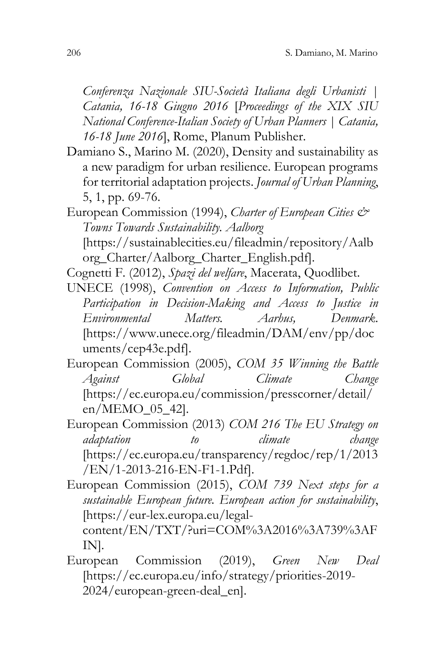*Conferenza Nazionale SIU-Società Italiana degli Urbanisti | Catania, 16-18 Giugno 2016* [*Proceedings of the XIX SIU National Conference-Italian Society of Urban Planners | Catania, 16-18 June 2016*], Rome, Planum Publisher.

- Damiano S., Marino M. (2020), Density and sustainability as a new paradigm for urban resilience. European programs for territorial adaptation projects. *Journal of Urban Planning*, 5, 1, pp. 69-76.
- European Commission (1994), *Charter of European Cities & Towns Towards Sustainability. Aalborg* [https://sustainablecities.eu/fileadmin/repository/Aalb org\_Charter/Aalborg\_Charter\_English.pdf].

Cognetti F. (2012), *Spazi del welfare*, Macerata, Quodlibet.

UNECE (1998), *Convention on Access to Information, Public Participation in Decision-Making and Access to Justice in Environmental Matters. Aarhus, Denmark*. [https://www.unece.org/fileadmin/DAM/env/pp/doc uments/cep43e.pdf].

European Commission (2005), *COM 35 Winning the Battle Against Global Climate Change* [\[https://ec.europa.eu/commission/presscorner/detail/](https://ec.europa.eu/commission/presscorner/detail/en/MEMO_05_42) [en/MEMO\\_05\\_42\]](https://ec.europa.eu/commission/presscorner/detail/en/MEMO_05_42).

European Commission (2013) *COM 216 The EU Strategy on adaptation to climate change* [\[https://ec.europa.eu/transparency/regdoc/rep/1/2013](https://ec.europa.eu/transparency/regdoc/rep/1/2013/EN/1-2013-216-EN-F1-1.Pdf) [/EN/1-2013-216-EN-F1-1.Pdf\]](https://ec.europa.eu/transparency/regdoc/rep/1/2013/EN/1-2013-216-EN-F1-1.Pdf).

European Commission (2015), *COM 739 Next steps for a sustainable European future. European action for sustainability*, [\[https://eur-lex.europa.eu/legal-](https://eur-lex.europa.eu/legal-content/EN/TXT/?uri=COM%3A2016%3A739%3AFIN)

[content/EN/TXT/?uri=COM%3A2016%3A739%3AF](https://eur-lex.europa.eu/legal-content/EN/TXT/?uri=COM%3A2016%3A739%3AFIN) [IN\]](https://eur-lex.europa.eu/legal-content/EN/TXT/?uri=COM%3A2016%3A739%3AFIN).

European Commission (2019), *Green New Deal* [\[https://ec.europa.eu/info/strategy/priorities-2019-](https://ec.europa.eu/info/strategy/priorities-2019-2024/european-green-deal_en) [2024/european-green-deal\\_en\]](https://ec.europa.eu/info/strategy/priorities-2019-2024/european-green-deal_en).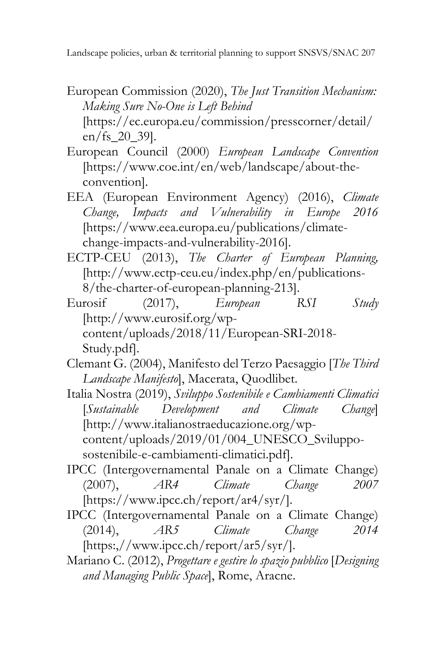- European Commission (2020), *The Just Transition Mechanism: Making Sure No-One is Left Behind* [https://ec.europa.eu/commission/presscorner/detail/ en/fs\_20\_39].
- European Council (2000) *European Landscape Convention* [\[https://www.coe.int/en/web/landscape/about-the](https://www.coe.int/en/web/landscape/about-the-convention)[convention\]](https://www.coe.int/en/web/landscape/about-the-convention).
- EEA (European Environment Agency) (2016), *Climate Change, Impacts and Vulnerability in Europe 2016* [\[https://www.eea.europa.eu/publications/climate](https://www.eea.europa.eu/publications/climate-change-impacts-and-vulnerability-2016)[change-impacts-and-vulnerability-2016\]](https://www.eea.europa.eu/publications/climate-change-impacts-and-vulnerability-2016).
- ECTP-CEU (2013), *The Charter of European Planning,* [\[http://www.ectp-ceu.eu/index.php/en/publications-](http://www.ectp-ceu.eu/index.php/en/publications-8/the-charter-of-european-planning-213)[8/the-charter-of-european-planning-213\]](http://www.ectp-ceu.eu/index.php/en/publications-8/the-charter-of-european-planning-213).
- Eurosif (2017), *European RSI Study* [\[http://www.eurosif.org/wp](http://www.eurosif.org/wp-content/uploads/2018/11/European-SRI-2018-Study.pdf)[content/uploads/2018/11/European-SRI-2018-](http://www.eurosif.org/wp-content/uploads/2018/11/European-SRI-2018-Study.pdf) [Study.pdf\]](http://www.eurosif.org/wp-content/uploads/2018/11/European-SRI-2018-Study.pdf).
- Clemant G. (2004), Manifesto del Terzo Paesaggio [*The Third Landscape Manifesto*], Macerata, Quodlibet.
- Italia Nostra (2019), *Sviluppo Sostenibile e Cambiamenti Climatici* [*Sustainable Development and Climate Change*] [\[http://www.italianostraeducazione.org/wp](http://www.italianostraeducazione.org/wp-content/uploads/2019/01/004_UNESCO_Sviluppo-sostenibile-e-cambiamenti-climatici.pdf)[content/uploads/2019/01/004\\_UNESCO\\_Sviluppo](http://www.italianostraeducazione.org/wp-content/uploads/2019/01/004_UNESCO_Sviluppo-sostenibile-e-cambiamenti-climatici.pdf)[sostenibile-e-cambiamenti-climatici.pdf\]](http://www.italianostraeducazione.org/wp-content/uploads/2019/01/004_UNESCO_Sviluppo-sostenibile-e-cambiamenti-climatici.pdf).
- IPCC (Intergovernamental Panale on a Climate Change) (2007), *AR4 Climate Change 2007* [\[https://www.ipcc.ch/report/ar4/syr/\]](https://www.ipcc.ch/report/ar4/syr/).
- IPCC (Intergovernamental Panale on a Climate Change) (2014), *AR5 Climate Change 2014* [\[https:,//www.ipcc.ch/report/ar5/syr/\]](https://www.ipcc.ch/report/ar5/syr/).
- Mariano C. (2012), *Progettare e gestire lo spazio pubblico* [*Designing and Managing Public Space*], Rome, Aracne.